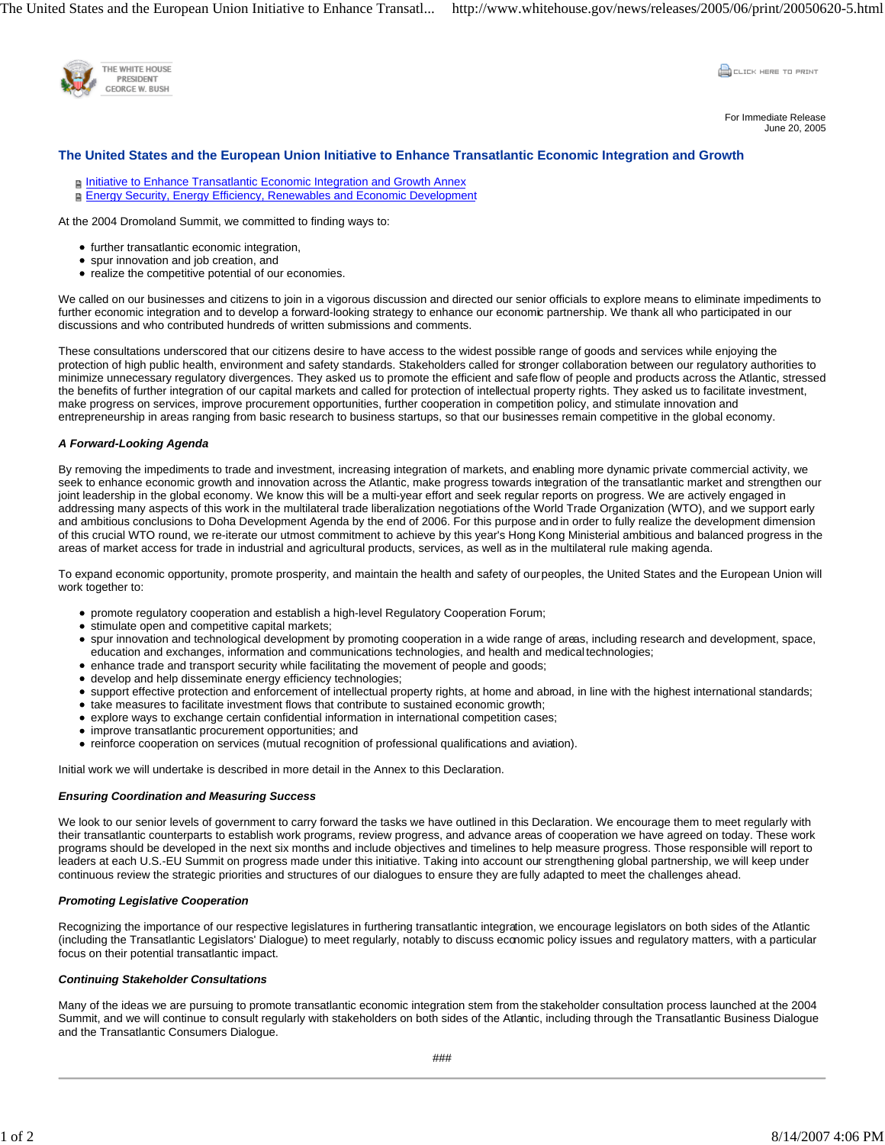

**CLICK HERE TO PRINT** 

For Immediate Release June 20, 2005

# **The United States and the European Union Initiative to Enhance Transatlantic Economic Integration and Growth**

**F** Initiative to Enhance Transatlantic Economic Integration and Growth Annex Energy Security, Energy Efficiency, Renewables and Economic Development

At the 2004 Dromoland Summit, we committed to finding ways to:

- further transatlantic economic integration,
- spur innovation and job creation, and
- realize the competitive potential of our economies.

We called on our businesses and citizens to join in a vigorous discussion and directed our senior officials to explore means to eliminate impediments to further economic integration and to develop a forward-looking strategy to enhance our economic partnership. We thank all who participated in our discussions and who contributed hundreds of written submissions and comments.

These consultations underscored that our citizens desire to have access to the widest possible range of goods and services while enjoying the protection of high public health, environment and safety standards. Stakeholders called for stronger collaboration between our regulatory authorities to minimize unnecessary regulatory divergences. They asked us to promote the efficient and safe flow of people and products across the Atlantic, stressed the benefits of further integration of our capital markets and called for protection of intellectual property rights. They asked us to facilitate investment, make progress on services, improve procurement opportunities, further cooperation in competition policy, and stimulate innovation and entrepreneurship in areas ranging from basic research to business startups, so that our businesses remain competitive in the global economy.

## *A Forward-Looking Agenda*

By removing the impediments to trade and investment, increasing integration of markets, and enabling more dynamic private commercial activity, we seek to enhance economic growth and innovation across the Atlantic, make progress towards integration of the transatlantic market and strengthen our joint leadership in the global economy. We know this will be a multi-year effort and seek regular reports on progress. We are actively engaged in addressing many aspects of this work in the multilateral trade liberalization negotiations of the World Trade Organization (WTO), and we support early and ambitious conclusions to Doha Development Agenda by the end of 2006. For this purpose and in order to fully realize the development dimension of this crucial WTO round, we re-iterate our utmost commitment to achieve by this year's Hong Kong Ministerial ambitious and balanced progress in the areas of market access for trade in industrial and agricultural products, services, as well as in the multilateral rule making agenda.

To expand economic opportunity, promote prosperity, and maintain the health and safety of our peoples, the United States and the European Union will work together to:

- promote regulatory cooperation and establish a high-level Regulatory Cooperation Forum;
- stimulate open and competitive capital markets;
- spur innovation and technological development by promoting cooperation in a wide range of areas, including research and development, space, education and exchanges, information and communications technologies, and health and medical technologies;
- enhance trade and transport security while facilitating the movement of people and goods;
- develop and help disseminate energy efficiency technologies;
- support effective protection and enforcement of intellectual property rights, at home and abroad, in line with the highest international standards;
- take measures to facilitate investment flows that contribute to sustained economic growth;
- explore ways to exchange certain confidential information in international competition cases;
- improve transatlantic procurement opportunities; and
- reinforce cooperation on services (mutual recognition of professional qualifications and aviation).

Initial work we will undertake is described in more detail in the Annex to this Declaration.

## *Ensuring Coordination and Measuring Success*

We look to our senior levels of government to carry forward the tasks we have outlined in this Declaration. We encourage them to meet regularly with their transatlantic counterparts to establish work programs, review progress, and advance areas of cooperation we have agreed on today. These work programs should be developed in the next six months and include objectives and timelines to help measure progress. Those responsible will report to leaders at each U.S.-EU Summit on progress made under this initiative. Taking into account our strengthening global partnership, we will keep under continuous review the strategic priorities and structures of our dialogues to ensure they are fully adapted to meet the challenges ahead.

## *Promoting Legislative Cooperation*

Recognizing the importance of our respective legislatures in furthering transatlantic integration, we encourage legislators on both sides of the Atlantic (including the Transatlantic Legislators' Dialogue) to meet regularly, notably to discuss economic policy issues and regulatory matters, with a particular focus on their potential transatlantic impact.

#### *Continuing Stakeholder Consultations*

Many of the ideas we are pursuing to promote transatlantic economic integration stem from the stakeholder consultation process launched at the 2004 Summit, and we will continue to consult regularly with stakeholders on both sides of the Atlantic, including through the Transatlantic Business Dialogue and the Transatlantic Consumers Dialogue.